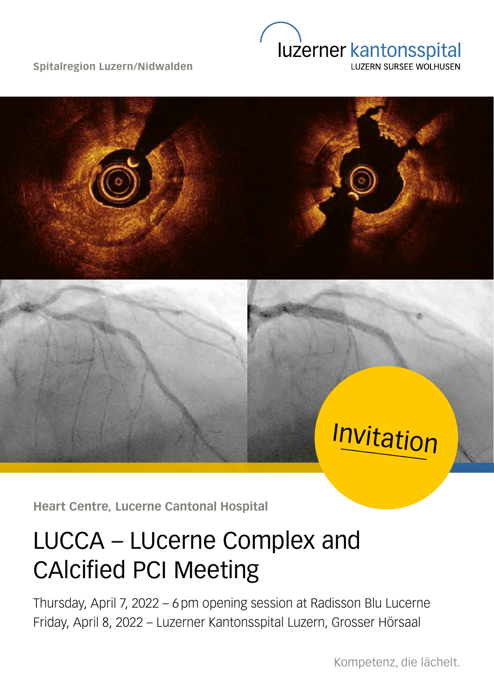**Spitalregion Luzern/Nidwalden**





Invitation

**Heart Centre, Lucerne Cantonal Hospital**

## LUCCA – LUcerne Complex and CAlcified PCI Meeting

Thursday, April 7, 2022 – 6 pm opening session at Radisson Blu Lucerne Friday, April 8, 2022 – Luzerner Kantonsspital Luzern, Grosser Hörsaal

Kompetenz, die lächelt.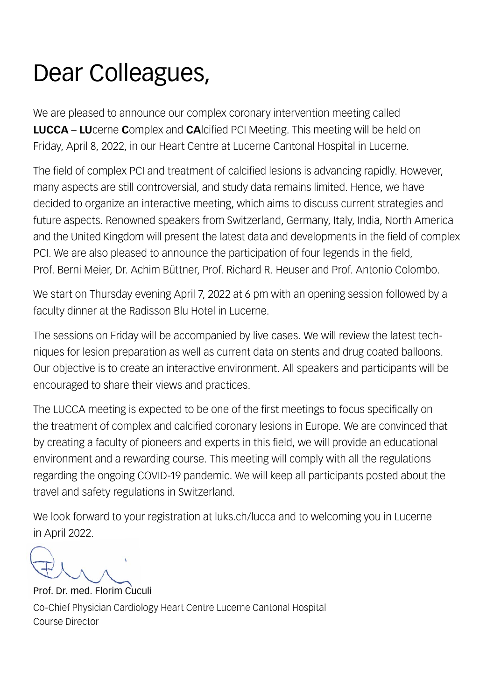## Dear Colleagues,

We are pleased to announce our complex coronary intervention meeting called **LUCCA** – **LU**cerne **C**omplex and **CA**lcified PCI Meeting. This meeting will be held on Friday, April 8, 2022, in our Heart Centre at Lucerne Cantonal Hospital in Lucerne.

The field of complex PCI and treatment of calcified lesions is advancing rapidly. However, many aspects are still controversial, and study data remains limited. Hence, we have decided to organize an interactive meeting, which aims to discuss current strategies and future aspects. Renowned speakers from Switzerland, Germany, Italy, India, North America and the United Kingdom will present the latest data and developments in the field of complex PCI. We are also pleased to announce the participation of four legends in the field, Prof. Berni Meier, Dr. Achim Büttner, Prof. Richard R. Heuser and Prof. Antonio Colombo.

We start on Thursday evening April 7, 2022 at 6 pm with an opening session followed by a faculty dinner at the Radisson Blu Hotel in Lucerne.

The sessions on Friday will be accompanied by live cases. We will review the latest techniques for lesion preparation as well as current data on stents and drug coated balloons. Our objective is to create an interactive environment. All speakers and participants will be encouraged to share their views and practices.

The LUCCA meeting is expected to be one of the first meetings to focus specifically on the treatment of complex and calcified coronary lesions in Europe. We are convinced that by creating a faculty of pioneers and experts in this field, we will provide an educational environment and a rewarding course. This meeting will comply with all the regulations regarding the ongoing COVID-19 pandemic. We will keep all participants posted about the travel and safety regulations in Switzerland.

We look forward to your registration at luks.ch/lucca and to welcoming you in Lucerne in April 2022.

Prof. Dr. med. Florim Cuculi Co-Chief Physician Cardiology Heart Centre Lucerne Cantonal Hospital Course Director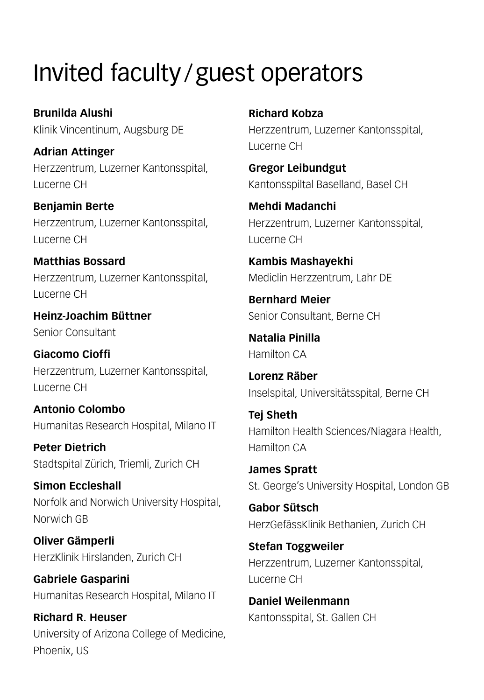## Invited faculty /guest operators

**Brunilda Alushi** Klinik Vincentinum, Augsburg DE

**Adrian Attinger** Herzzentrum, Luzerner Kantonsspital, Lucerne CH

**Benjamin Berte** Herzzentrum, Luzerner Kantonsspital, Lucerne CH

**Matthias Bossard** Herzzentrum, Luzerner Kantonsspital, Lucerne CH

**Heinz-Joachim Büttner** Senior Consultant

**Giacomo Cioffi** Herzzentrum, Luzerner Kantonsspital, Lucerne CH

**Antonio Colombo** Humanitas Research Hospital, Milano IT

**Peter Dietrich** Stadtspital Zürich, Triemli, Zurich CH

**Simon Eccleshall** Norfolk and Norwich University Hospital, Norwich GB

**Oliver Gämperli** HerzKlinik Hirslanden, Zurich CH

**Gabriele Gasparini** Humanitas Research Hospital, Milano IT

**Richard R. Heuser** University of Arizona College of Medicine, Phoenix, US

**Richard Kobza** Herzzentrum, Luzerner Kantonsspital, Lucerne CH

**Gregor Leibundgut** Kantonsspiltal Baselland, Basel CH

**Mehdi Madanchi** Herzzentrum, Luzerner Kantonsspital, Lucerne CH

**Kambis Mashayekhi** Mediclin Herzzentrum, Lahr DE

**Bernhard Meier** Senior Consultant, Berne CH

**Natalia Pinilla** Hamilton CA

**Lorenz Räber** Inselspital, Universitätsspital, Berne CH

**Tej Sheth** Hamilton Health Sciences/Niagara Health, Hamilton CA

**James Spratt** St. George's University Hospital, London GB

**Gabor Sütsch** HerzGefässKlinik Bethanien, Zurich CH

**Stefan Toggweiler** Herzzentrum, Luzerner Kantonsspital, Lucerne CH

**Daniel Weilenmann** Kantonsspital, St. Gallen CH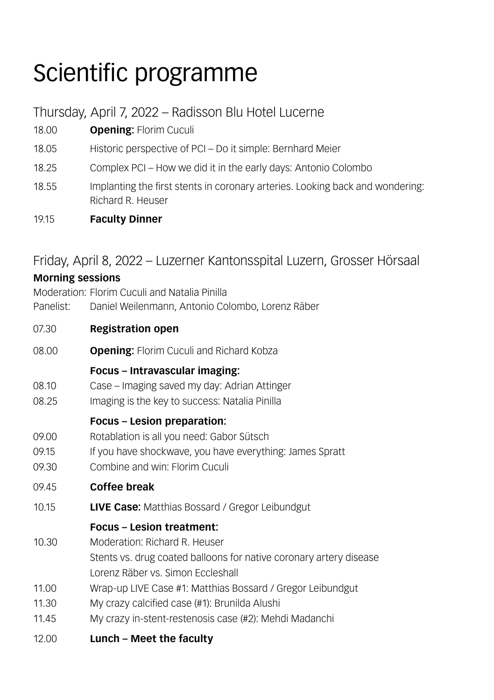# Scientific programme

Thursday, April 7, 2022 – Radisson Blu Hotel Lucerne

- 18.00 **Opening:** Florim Cuculi
- 18.05 Historic perspective of PCI Do it simple: Bernhard Meier
- 18.25 Complex PCI How we did it in the early days: Antonio Colombo
- 18.55 Implanting the first stents in coronary arteries. Looking back and wondering: Richard R. Heuser
- 19.15 **Faculty Dinner**

## Friday, April 8, 2022 – Luzerner Kantonsspital Luzern, Grosser Hörsaal

## **Morning sessions** Moderation: Florim Cuculi and Natalia Pinilla Panelist: Daniel Weilenmann, Antonio Colombo, Lorenz Räber 07.30 **Registration open** 08.00 **Opening:** Florim Cuculi and Richard Kobza **Focus – Intravascular imaging:** 08.10 Case – Imaging saved my day: Adrian Attinger 08.25 Imaging is the key to success: Natalia Pinilla **Focus – Lesion preparation:** 09.00 Rotablation is all you need: Gabor Sütsch 09.15 If you have shockwave, you have everything: James Spratt 09.30 Combine and win: Florim Cuculi 09.45 **Coffee break** 10.15 **LIVE Case:** Matthias Bossard / Gregor Leibundgut **Focus – Lesion treatment:** 10.30 Moderation: Richard R. Heuser Stents vs. drug coated balloons for native coronary artery disease Lorenz Räber vs. Simon Eccleshall 11.00 Wrap-up LIVE Case #1: Matthias Bossard / Gregor Leibundgut 11.30 My crazy calcified case (#1): Brunilda Alushi 11.45 My crazy in-stent-restenosis case (#2): Mehdi Madanchi 12.00 **Lunch – Meet the faculty**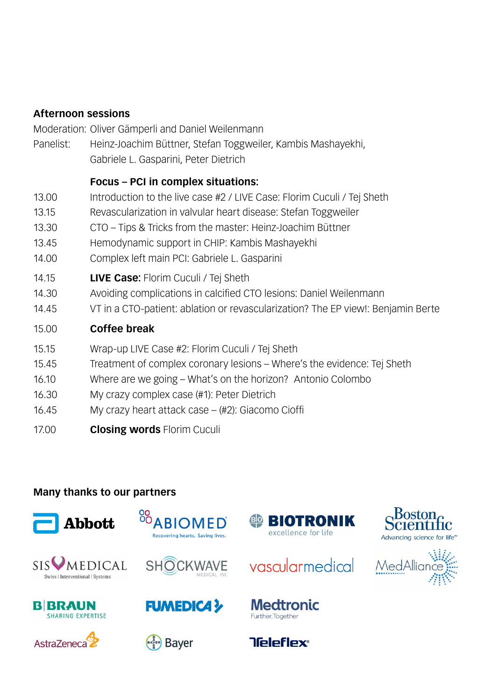### **Afternoon sessions**

Moderation: Oliver Gämperli and Daniel Weilenmann

Panelist: Heinz-Joachim Büttner, Stefan Toggweiler, Kambis Mashayekhi, Gabriele L. Gasparini, Peter Dietrich

### **Focus – PCI in complex situations:**

- 13.00 Introduction to the live case #2 / LIVE Case: Florim Cuculi / Tej Sheth
- 13.15 Revascularization in valvular heart disease: Stefan Toggweiler
- 13.30 CTO Tips & Tricks from the master: Heinz-Joachim Büttner
- 13.45 Hemodynamic support in CHIP: Kambis Mashayekhi
- 14.00 Complex left main PCI: Gabriele L. Gasparini
- 14.15 **LIVE Case:** Florim Cuculi / Tej Sheth
- 14.30 Avoiding complications in calcified CTO lesions: Daniel Weilenmann
- 14.45 VT in a CTO-patient: ablation or revascularization? The EP view!: Benjamin Berte
- 15.00 **Coffee break**
- 15.15 Wrap-up LIVE Case #2: Florim Cuculi / Tej Sheth
- 15.45 Treatment of complex coronary lesions Where's the evidence: Tej Sheth
- 16.10 Where are we going What's on the horizon? Antonio Colombo
- 16.30 My crazy complex case (#1): Peter Dietrich
- 16.45 My crazy heart attack case (#2): Giacomo Cioffi
- 17.00 **Closing words** Florim Cuculi

## **Many thanks to our partners**















vascularmedical

**Medtronic** 

Further, Together

**Tieleflex®**